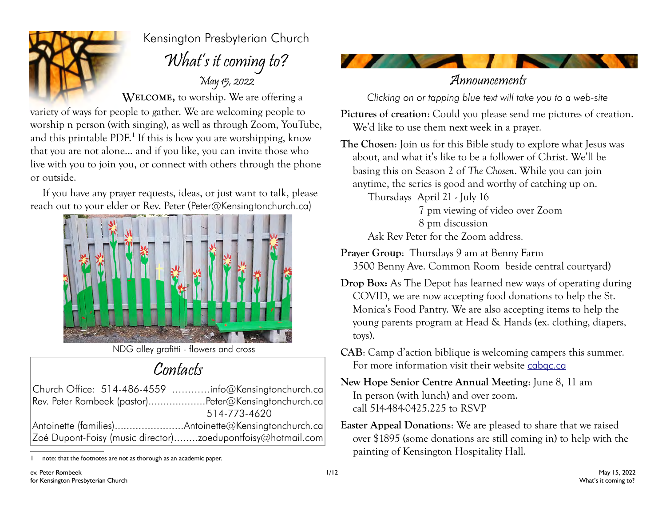

Kensington Presbyterian Church

What's it coming to? May 15, 2022

WELCOME, to worship. We are offering a

variety of ways for people to gather. We are welcoming people to worship n person (with singing), as well as through Zoom, YouTube, and this printable  $\rm PDF.^1$  $\rm PDF.^1$  If this is how you are worshipping, know that you are not alone... and if you like, you can invite those who live with you to join you, or connect with others through the phone or outside.

If you have any prayer requests, ideas, or just want to talk, please reach out to your elder or Rev. Peter (Peter@Kensingtonchurch.ca)



NDG alley grafitti - flowers and cross

# Contacts

| Church Office: 514-486-4559 info@Kensingtonchurch.ca        |
|-------------------------------------------------------------|
| Rev. Peter Rombeek (pastor)Peter@Kensingtonchurch.ca        |
| 514-773-4620                                                |
| Antoinette (families)Antoinette@Kensingtonchurch.ca         |
| Zoé Dupont-Foisy (music director)zoedupontfoisy@hotmail.com |

<span id="page-0-0"></span><sup>1</sup> note: that the footnotes are not as thorough as an academic paper.



### Announcements

*Clicking on or tapping blue text will take you to a web-site*

- **Pictures of creation**: Could you please send me pictures of creation. We'd like to use them next week in a prayer.
- **The Chosen**: Join us for this Bible study to explore what Jesus was about, and what it's like to be a follower of Christ. We'll be basing this on Season 2 of *The Chosen*. While you can join anytime, the series is good and worthy of catching up on.

Thursdays April 21 - July 16

 7 pm viewing of video over Zoom 8 pm discussion

Ask Rev Peter for the Zoom address.

**Prayer Group**: Thursdays 9 am at Benny Farm 3500 Benny Ave. Common Room beside central courtyard)

- **Drop Box:** As The Depot has learned new ways of operating during COVID, we are now accepting food donations to help the St. Monica's Food Pantry. We are also accepting items to help the young parents program at Head & Hands (ex. clothing, diapers, toys).
- **CAB**: Camp d'action biblique is welcoming campers this summer. For more information visit their website [cabqc.ca](http://cabqc.ca/)
- **New Hope Senior Centre Annual Meeting**: June 8, 11 am In person (with lunch) and over zoom. call 514-484-0425.225 to RSVP
- **Easter Appeal Donations**: We are pleased to share that we raised over \$1895 (some donations are still coming in) to help with the painting of Kensington Hospitality Hall.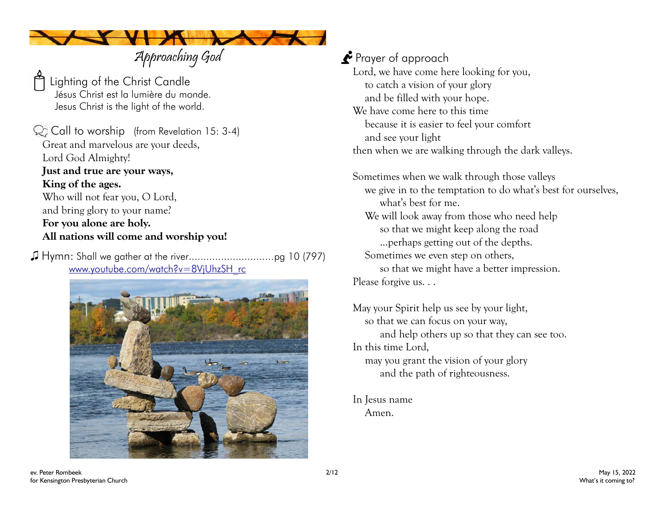

Approaching God

Lighting of the Christ Candle Jésus Christ est la lumière du monde. Jesus Christ is the light of the world.

 $\mathbb{Q}$  Call to worship (from Revelation 15: 3-4) Great and marvelous are your deeds, Lord God Almighty! **Just and true are your ways, King of the ages.** Who will not fear you, O Lord, and bring glory to your name? **For you alone are holy. All nations will come and worship you!**

♫ Hymn: Shall we gather at the river.............................pg 10 (797) [www.youtube.com/watch?v=8VjUhzSH\\_rc](https://www.youtube.com/watch?v=8VjUhzSH_rc)



### Prayer of approach

Lord, we have come here looking for you, to catch a vision of your glory and be filled with your hope. We have come here to this time because it is easier to feel your comfort and see your light then when we are walking through the dark valleys.

Sometimes when we walk through those valleys we give in to the temptation to do what's best for ourselves, what's best for me. We will look away from those who need help so that we might keep along the road ...perhaps getting out of the depths. Sometimes we even step on others, so that we might have a better impression. Please forgive us. . .

May your Spirit help us see by your light, so that we can focus on your way, and help others up so that they can see too. In this time Lord, may you grant the vision of your glory and the path of righteousness.

In Jesus name Amen.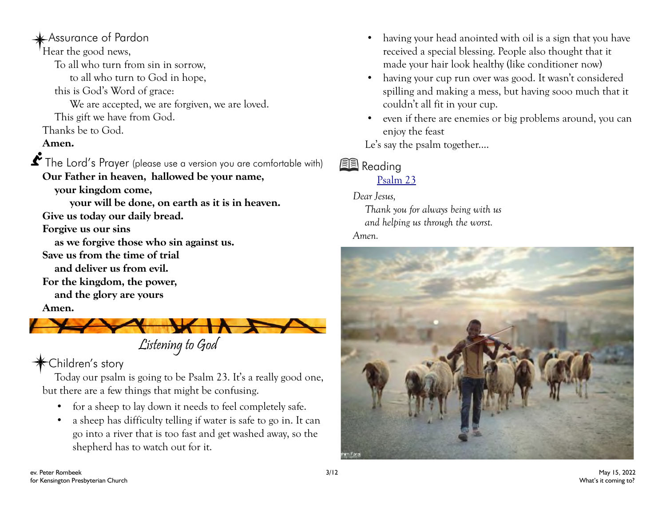Assurance of Pardon

Hear the good news,

To all who turn from sin in sorrow, to all who turn to God in hope,

this is God's Word of grace:

We are accepted, we are forgiven, we are loved.

This gift we have from God.

Thanks be to God.

#### **Amen.**

The Lord's Prayer (please use a version you are comfortable with) **Our Father in heaven, hallowed be your name,**

**your kingdom come,** 

**your will be done, on earth as it is in heaven. Give us today our daily bread.**

**Forgive us our sins** 

**as we forgive those who sin against us.**

**Save us from the time of trial** 

**and deliver us from evil.**

**For the kingdom, the power,** 

**and the glory are yours** 

**Amen.**



Listening to God

### Children's story

Today our psalm is going to be Psalm 23. It's a really good one, but there are a few things that might be confusing.

- for a sheep to lay down it needs to feel completely safe.
- a sheep has difficulty telling if water is safe to go in. It can go into a river that is too fast and get washed away, so the shepherd has to watch out for it.
- having your head anointed with oil is a sign that you have received a special blessing. People also thought that it made your hair look healthy (like conditioner now)
- having your cup run over was good. It wasn't considered spilling and making a mess, but having sooo much that it couldn't all fit in your cup.
- even if there are enemies or big problems around, you can enjoy the feast

Le's say the psalm together....



### [Psalm 23](https://bible.oremus.org/?passage=psalm+23)

*Dear Jesus,* 

*Thank you for always being with us and helping us through the worst. Amen.*

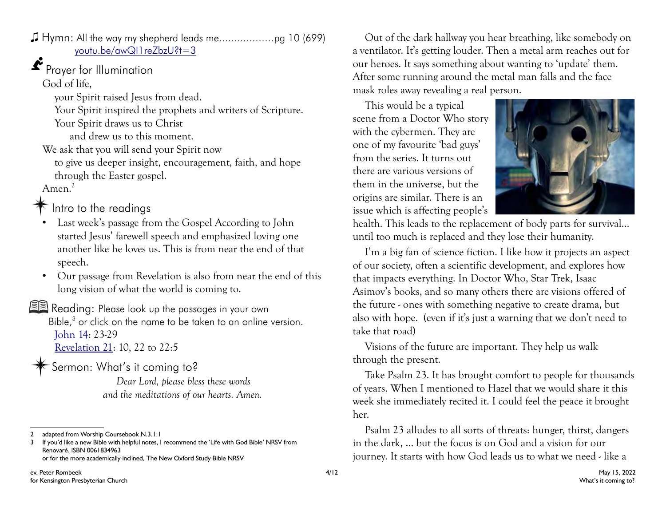#### ♫ Hymn: All the way my shepherd leads me..................pg 10 (699) [youtu.be/awQI1reZbzU?t=3](https://youtu.be/awQI1reZbzU?t=3)

 $\tilde{\blacktriangleright}$  Prayer for Illumination

God of life,

your Spirit raised Jesus from dead.

Your Spirit inspired the prophets and writers of Scripture.

Your Spirit draws us to Christ

and drew us to this moment.

We ask that you will send your Spirit now

to give us deeper insight, encouragement, faith, and hope through the Easter gospel.

Amen.<sup>[2](#page-3-0)</sup>

Intro to the readings

- Last week's passage from the Gospel According to John started Jesus' farewell speech and emphasized loving one another like he loves us. This is from near the end of that speech.
- Our passage from Revelation is also from near the end of this long vision of what the world is coming to.

**EE** Reading: Please look up the passages in your own Bible, $3$  or click on the name to be taken to an online version. [John 14:](https://bible.oremus.org/?passage=John+14) 23-29

[Revelation 21:](https://bible.oremus.org/?passage=Revelation+21) 10, 22 to 22:5

Sermon: What's it coming to?

*Dear Lord, please bless these words and the meditations of our hearts. Amen.*

Out of the dark hallway you hear breathing, like somebody on a ventilator. It's getting louder. Then a metal arm reaches out for our heroes. It says something about wanting to 'update' them. After some running around the metal man falls and the face mask roles away revealing a real person.

This would be a typical scene from a Doctor Who story with the cybermen. They are one of my favourite 'bad guys' from the series. It turns out there are various versions of them in the universe, but the origins are similar. There is an issue which is affecting people's



health. This leads to the replacement of body parts for survival... until too much is replaced and they lose their humanity.

I'm a big fan of science fiction. I like how it projects an aspect of our society, often a scientific development, and explores how that impacts everything. In Doctor Who, Star Trek, Isaac Asimov's books, and so many others there are visions offered of the future - ones with something negative to create drama, but also with hope. (even if it's just a warning that we don't need to take that road)

Visions of the future are important. They help us walk through the present.

Take Psalm 23. It has brought comfort to people for thousands of years. When I mentioned to Hazel that we would share it this week she immediately recited it. I could feel the peace it brought her.

Psalm 23 alludes to all sorts of threats: hunger, thirst, dangers in the dark, ... but the focus is on God and a vision for our journey. It starts with how God leads us to what we need - like a

<span id="page-3-0"></span><sup>2</sup> adapted from Worship Coursebook N.3.1.1

<span id="page-3-1"></span>If you'd like a new Bible with helpful notes, I recommend the 'Life with God Bible' NRSV from Renovaré. ISBN 0061834963 or for the more academically inclined, The New Oxford Study Bible NRSV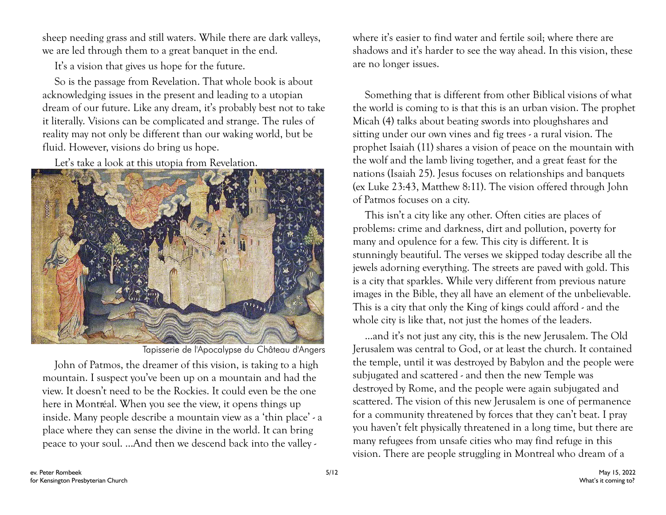sheep needing grass and still waters. While there are dark valleys, we are led through them to a great banquet in the end.

It's a vision that gives us hope for the future.

So is the passage from Revelation. That whole book is about acknowledging issues in the present and leading to a utopian dream of our future. Like any dream, it's probably best not to take it literally. Visions can be complicated and strange. The rules of reality may not only be different than our waking world, but be fluid. However, visions do bring us hope.

Let's take a look at this utopia from Revelation.



Tapisserie de l'Apocalypse du Château d'Angers

John of Patmos, the dreamer of this vision, is taking to a high mountain. I suspect you've been up on a mountain and had the view. It doesn't need to be the Rockies. It could even be the one here in Montréal. When you see the view, it opens things up inside. Many people describe a mountain view as a 'thin place' - a place where they can sense the divine in the world. It can bring peace to your soul. ...And then we descend back into the valley -

where it's easier to find water and fertile soil; where there are shadows and it's harder to see the way ahead. In this vision, these are no longer issues.

Something that is different from other Biblical visions of what the world is coming to is that this is an urban vision. The prophet Micah (4) talks about beating swords into ploughshares and sitting under our own vines and fig trees - a rural vision. The prophet Isaiah (11) shares a vision of peace on the mountain with the wolf and the lamb living together, and a great feast for the nations (Isaiah 25). Jesus focuses on relationships and banquets (ex Luke 23:43, Matthew 8:11). The vision offered through John of Patmos focuses on a city.

This isn't a city like any other. Often cities are places of problems: crime and darkness, dirt and pollution, poverty for many and opulence for a few. This city is different. It is stunningly beautiful. The verses we skipped today describe all the jewels adorning everything. The streets are paved with gold. This is a city that sparkles. While very different from previous nature images in the Bible, they all have an element of the unbelievable. This is a city that only the King of kings could afford - and the whole city is like that, not just the homes of the leaders.

...and it's not just any city, this is the new Jerusalem. The Old Jerusalem was central to God, or at least the church. It contained the temple, until it was destroyed by Babylon and the people were subjugated and scattered - and then the new Temple was destroyed by Rome, and the people were again subjugated and scattered. The vision of this new Jerusalem is one of permanence for a community threatened by forces that they can't beat. I pray you haven't felt physically threatened in a long time, but there are many refugees from unsafe cities who may find refuge in this vision. There are people struggling in Montreal who dream of a

ev. Peter Rombeek 5/12 May 15, 2022 for Kensington Presbyterian Church What's it coming to?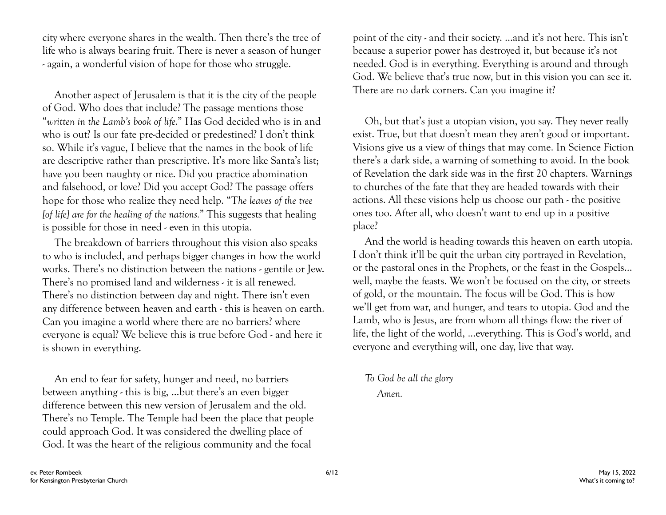city where everyone shares in the wealth. Then there's the tree of life who is always bearing fruit. There is never a season of hunger - again, a wonderful vision of hope for those who struggle.

Another aspect of Jerusalem is that it is the city of the people of God. Who does that include? The passage mentions those "*written in the Lamb's book of life.*" Has God decided who is in and who is out? Is our fate pre-decided or predestined? I don't think so. While it's vague, I believe that the names in the book of life are descriptive rather than prescriptive. It's more like Santa's list; have you been naughty or nice. Did you practice abomination and falsehood, or love? Did you accept God? The passage offers hope for those who realize they need help. "T*he leaves of the tree [of life] are for the healing of the nations.*" This suggests that healing is possible for those in need - even in this utopia.

The breakdown of barriers throughout this vision also speaks to who is included, and perhaps bigger changes in how the world works. There's no distinction between the nations - gentile or Jew. There's no promised land and wilderness - it is all renewed. There's no distinction between day and night. There isn't even any difference between heaven and earth - this is heaven on earth. Can you imagine a world where there are no barriers? where everyone is equal? We believe this is true before God - and here it is shown in everything.

An end to fear for safety, hunger and need, no barriers between anything - this is big, ...but there's an even bigger difference between this new version of Jerusalem and the old. There's no Temple. The Temple had been the place that people could approach God. It was considered the dwelling place of God. It was the heart of the religious community and the focal

point of the city - and their society. ...and it's not here. This isn't because a superior power has destroyed it, but because it's not needed. God is in everything. Everything is around and through God. We believe that's true now, but in this vision you can see it. There are no dark corners. Can you imagine it?

Oh, but that's just a utopian vision, you say. They never really exist. True, but that doesn't mean they aren't good or important. Visions give us a view of things that may come. In Science Fiction there's a dark side, a warning of something to avoid. In the book of Revelation the dark side was in the first 20 chapters. Warnings to churches of the fate that they are headed towards with their actions. All these visions help us choose our path - the positive ones too. After all, who doesn't want to end up in a positive place?

And the world is heading towards this heaven on earth utopia. I don't think it'll be quit the urban city portrayed in Revelation, or the pastoral ones in the Prophets, or the feast in the Gospels... well, maybe the feasts. We won't be focused on the city, or streets of gold, or the mountain. The focus will be God. This is how we'll get from war, and hunger, and tears to utopia. God and the Lamb, who is Jesus, are from whom all things flow: the river of life, the light of the world, ...everything. This is God's world, and everyone and everything will, one day, live that way.

*To God be all the glory Amen.*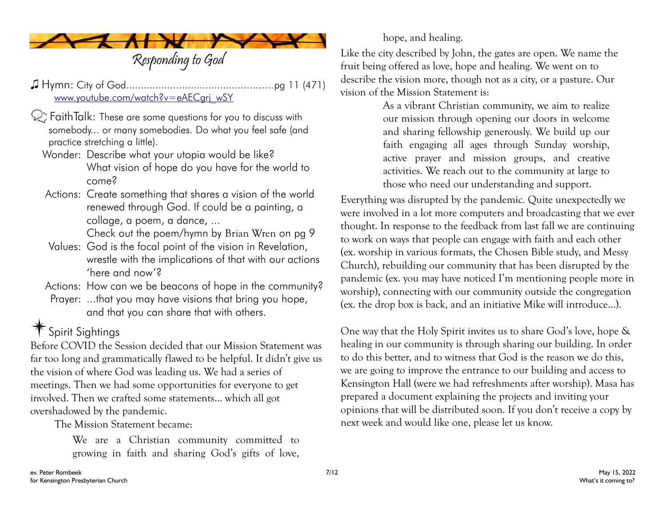

# Responding to God

♫ Hymn: City of God..................................................pg 11 (471) [www.youtube.com/watch?v=eAECgrj\\_wSY](https://www.youtube.com/watch?v=eAECgrj_wSY) 

- **EXA** FaithTalk: These are some questions for you to discuss with somebody... or many somebodies. Do what you feel safe (and practice stretching a little).
	- Wonder: Describe what your utopia would be like? What vision of hope do you have for the world to come?
	- Actions: Create something that shares a vision of the world renewed through God. If could be a painting, a collage, a poem, a dance, ...
		- Check out the poem/hymn by Brian Wren on pg 9
	- Values: God is the focal point of the vision in Revelation, wrestle with the implications of that with our actions 'here and now'?
	- Actions: How can we be beacons of hope in the community?
	- Prayer: ...that you may have visions that bring you hope, and that you can share that with others.

## Spirit Sightings

Before COVID the Session decided that our Mission Statement was far too long and grammatically flawed to be helpful. It didn't give us the vision of where God was leading us. We had a series of meetings. Then we had some opportunities for everyone to get involved. Then we crafted some statements... which all got overshadowed by the pandemic.

The Mission Statement became:

We are a Christian community committed to growing in faith and sharing God's gifts of love, hope, and healing.

Like the city described by John, the gates are open. We name the fruit being offered as love, hope and healing. We went on to describe the vision more, though not as a city, or a pasture. Our vision of the Mission Statement is:

> As a vibrant Christian community, we aim to realize our mission through opening our doors in welcome and sharing fellowship generously. We build up our faith engaging all ages through Sunday worship, active prayer and mission groups, and creative activities. We reach out to the community at large to those who need our understanding and support.

Everything was disrupted by the pandemic. Quite unexpectedly we were involved in a lot more computers and broadcasting that we ever thought. In response to the feedback from last fall we are continuing to work on ways that people can engage with faith and each other (ex. worship in various formats, the Chosen Bible study, and Messy Church), rebuilding our community that has been disrupted by the pandemic (ex. you may have noticed I'm mentioning people more in worship), connecting with our community outside the congregation (ex. the drop box is back, and an initiative Mike will introduce...).

One way that the Holy Spirit invites us to share God's love, hope & healing in our community is through sharing our building. In order to do this better, and to witness that God is the reason we do this, we are going to improve the entrance to our building and access to Kensington Hall (were we had refreshments after worship). Masa has prepared a document explaining the projects and inviting your opinions that will be distributed soon. If you don't receive a copy by next week and would like one, please let us know.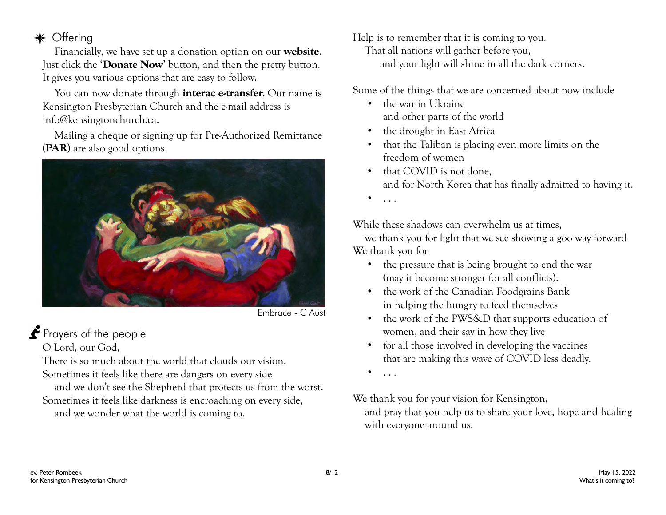### Offering

Financially, we have set up a donation option on our **website**. Just click the '**Donate Now**' button, and then the pretty button. It gives you various options that are easy to follow.

You can now donate through **interac e-transfer**. Our name is Kensington Presbyterian Church and the e-mail address is info@kensingtonchurch.ca.

Mailing a cheque or signing up for Pre-Authorized Remittance (**PAR**) are also good options.



Embrace - C Aust

# Prayers of the people

O Lord, our God,

There is so much about the world that clouds our vision. Sometimes it feels like there are dangers on every side

and we don't see the Shepherd that protects us from the worst. Sometimes it feels like darkness is encroaching on every side, and we wonder what the world is coming to.

Help is to remember that it is coming to you.

That all nations will gather before you, and your light will shine in all the dark corners.

Some of the things that we are concerned about now include

- the war in Ukraine and other parts of the world
- the drought in East Africa
- that the Taliban is placing even more limits on the freedom of women
- that COVID is not done. and for North Korea that has finally admitted to having it.
- $\bullet$  . . .

While these shadows can overwhelm us at times,

we thank you for light that we see showing a goo way forward We thank you for

- the pressure that is being brought to end the war (may it become stronger for all conflicts).
- the work of the Canadian Foodgrains Bank in helping the hungry to feed themselves
- the work of the PWS&D that supports education of women, and their say in how they live
- for all those involved in developing the vaccines that are making this wave of COVID less deadly.
- $\bullet$  . . .

We thank you for your vision for Kensington,

and pray that you help us to share your love, hope and healing with everyone around us.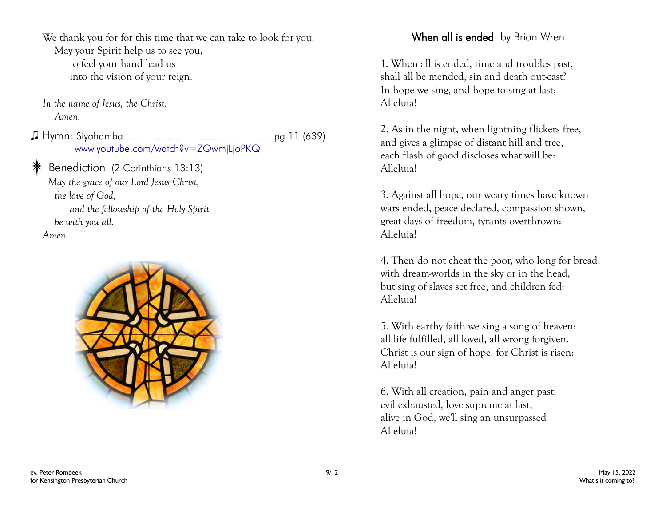We thank you for for this time that we can take to look for you. May your Spirit help us to see you, to feel your hand lead us into the vision of your reign.

*In the name of Jesus, the Christ. Amen.*

♫ Hymn: Siyahamba...................................................pg 11 (639) [www.youtube.com/watch?v=ZQwmjLjoPKQ](https://www.youtube.com/watch?v=ZQwmjLjoPKQ)

Benediction (2 Corinthians 13:13) *May the grace of our Lord Jesus Christ, the love of God, and the fellowship of the Holy Spirit be with you all. Amen.*



### When all is ended by Brian Wren

1. When all is ended, time and troubles past, shall all be mended, sin and death out-cast? In hope we sing, and hope to sing at last: Alleluia!

2. As in the night, when lightning flickers free, and gives a glimpse of distant hill and tree, each flash of good discloses what will be: Alleluia!

3. Against all hope, our weary times have known wars ended, peace declared, compassion shown, great days of freedom, tyrants overthrown: Alleluia!

4. Then do not cheat the poor, who long for bread, with dream-worlds in the sky or in the head, but sing of slaves set free, and children fed: Alleluia!

5. With earthy faith we sing a song of heaven: all life fulfilled, all loved, all wrong forgiven. Christ is our sign of hope, for Christ is risen: Alleluia!

6. With all creation, pain and anger past, evil exhausted, love supreme at last, alive in God, we'll sing an unsurpassed Alleluia!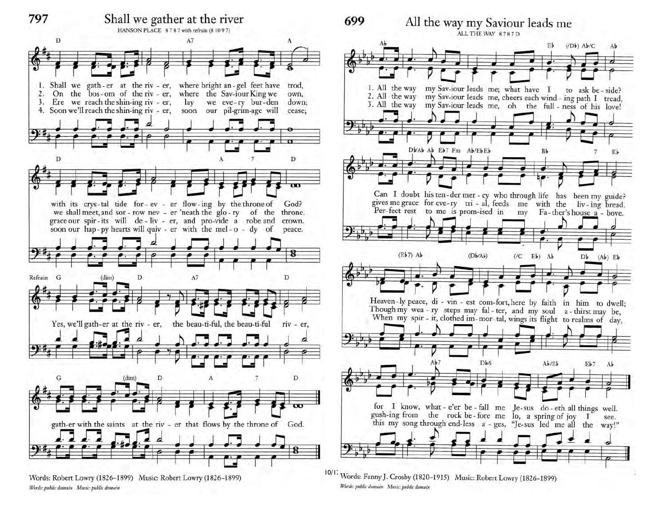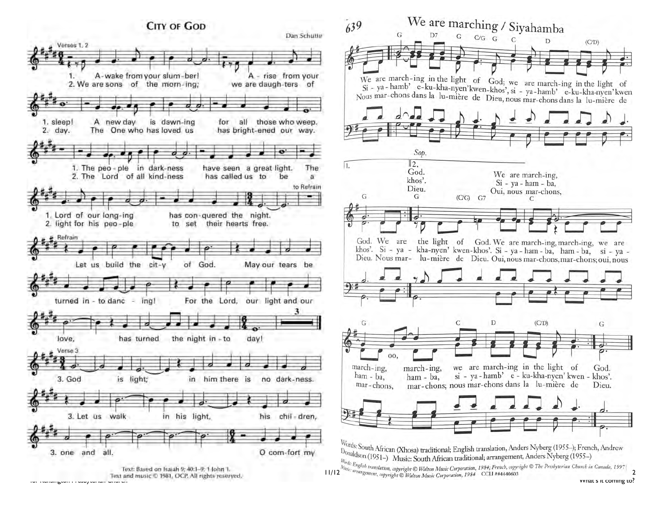



Words: English translation, copyright © Walton Music Corporation, 1984; French, copyright © The Presbyterian Church in Canada, 1997<br>Music arrangement converses © W. J. Mari Corporation 1984 CCLI ##4440603 *For Kensington Comparight* © Walton Music Corporation, 1984; CTERNO, 1997, 2007.<br>2 verangement, copyright © Walton Music Corporation, 1984 CCLI ##4440603